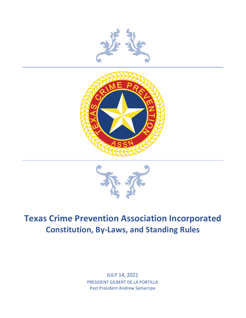





# **Texas Crime Prevention Association Incorporated Constitution, By-Laws, and Standing Rules**

JULY 14, 2021 PRESIDENT GILBERT DE LA PORTILLA Past President Andrew Samarripa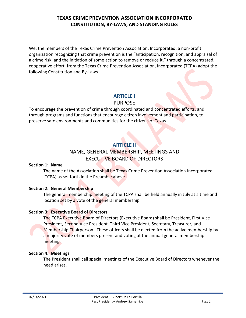We, the members of the Texas Crime Prevention Association, Incorporated, a non-profit organization recognizing that crime prevention is the "anticipation, recognition, and appraisal of a crime risk, and the initiation of some action to remove or reduce it," through a concentrated, cooperative effort, from the Texas Crime Prevention Association, Incorporated (TCPA) adopt the following Constitution and By-Laws.

### **ARTICLE I**

#### PURPOSE

To encourage the prevention of crime through coordinated and concentrated efforts, and through programs and functions that encourage citizen involvement and participation, to preserve safe environments and communities for the citizens of Texas.

### **ARTICLE II**

### NAME, GENERAL MEMBERSHIP, MEETINGS AND EXECUTIVE BOARD OF DIRECTORS

#### **Section 1: Name**

The name of the Association shall be Texas Crime Prevention Association Incorporated (TCPA) as set forth in the Preamble above.

#### **Section 2: General Membership**

The general membership meeting of the TCPA shall be held annually in July at a time and location set by a vote of the general membership.

#### **Section 3: Executive Board of Directors**

The TCPA Executive Board of Directors (Executive Board) shall be President, First Vice President, Second Vice President, Third Vice President, Secretary, Treasurer, and Membership Chairperson. These officers shall be elected from the active membership by a majority vote of members present and voting at the annual general membership meeting.

#### **Section 4: Meetings**

The President shall call special meetings of the Executive Board of Directors whenever the need arises.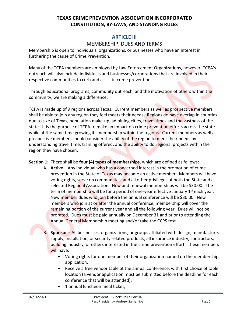### **ARTICLE III**

### MEMBERSHIP, DUES AND TERMS

Membership is open to individuals, organizations, or businesses who have an interest in furthering the cause of Crime Prevention.

Many of the TCPA members are employed by Law Enforcement Organizations, however, TCPA's outreach will also include individuals and businesses/corporations that are involved in their respective communities to curb and assist in crime prevention.

Through educational programs, community outreach, and the motivation of others within the community, we are making a difference.

TCPA is made up of 9 regions across Texas. Current members as well as prospective members shall be able to join any region they feel meets their needs. Regions do have overlap in counties due to size of Texas, population make-up, adjoining cities, travel times and the vastness of the state. It is the purpose of TCPA to make an impact on crime prevention efforts across the state while at the same time growing its membership within the regions. Current members as well as prospective members should consider the ability of the region to meet their needs by understanding travel time, training offered, and the ability to do regional projects within the region they have chosen.

**Section 1:** There shall be **four (4) types of memberships**, which are defined as follows**:**

- A. **Active** Any individual who has a concerned interest in the promotion of crime prevention in the State of Texas may become an active member. Members will have voting rights, serve on communities, and all other privileges of both the State and a selected Regional Association. New and renewal memberships will be \$30.00. The term of membership will be for a period of one-year effective January 1<sup>st</sup> each year. New member dues who join before the annual conference will be \$30.00. New members who join at or after the annual conference, membership will cover the remaining portion of the current year and all the following year. Dues will not be prorated. Dues must be paid annually on December 31 and prior to attending the Annual General Membership meeting and/or take the CCPS test.
- B. **Sponsor** All businesses, organizations, or groups affiliated with design, manufacture, supply, installation, or security related products, all insurance industry, contractors, building industry, or others interested in the crime prevention effort. These members will have:
	- Voting rights for one member of their organization named on the membership application,
	- Receive a free vendor table at the annual conference, with first choice of table location (a vendor application must be submitted before the deadline for each conference that will be attended),
	- 1 annual luncheon meal ticket,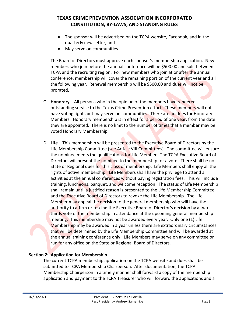- The sponsor will be advertised on the TCPA website, Facebook, and in the quarterly newsletter, and
- May serve on communities

The Board of Directors must approve each sponsor's membership application. New members who join before the annual conference will be \$500.00 and split between TCPA and the recruiting region. For new members who join at or after the annual conference, membership will cover the remaining portion of the current year and all the following year. Renewal membership will be \$500.00 and dues will not be prorated.

- C. **Honorary** All persons who in the opinion of the members have rendered outstanding service to the Texas Crime Prevention effort. These members will not have voting rights but may serve on communities. There are no dues for Honorary Members. Honorary membership is in effect for a period of one year, from the date they are appointed. There is no limit to the number of times that a member may be voted Honorary Membership.
- D. **Life** This membership will be presented to the Executive Board of Directors by the Life Membership Committee (see Article VIII Committees). The committee will ensure the nominee meets the qualifications for Life Member. The TCPA Executive Board of Directors will present the nominee to the membership for a vote. There shall be no State or Regional dues for this class of membership. Life Members shall enjoy all the rights of active membership. Life Members shall have the privilege to attend all activities at the annual conferences without paying registration fees. This will include training, luncheons, banquet, and welcome reception. The status of Life Membership shall remain until a justified reason is presented to the Life Membership Committee and the Executive Board of Directors to revoke the Life Membership. The Life Member may appeal the decision to the general membership who will have the authority to affirm or rescind the Executive Board of Director's decision by a twothirds vote of the membership in attendance at the upcoming general membership meeting. This membership may not be awarded every year. Only one (1) Life Membership may be awarded in a year unless there are extraordinary circumstances that will be determined by the Life Membership Committee and will be awarded at the annual training conference only. Life Members may serve on any committee or run for any office on the State or Regional Board of Directors.

#### **Section 2: Application for Membership**

The current TCPA membership application on the TCPA website and dues shall be submitted to TCPA Membership Chairperson. After documentation, the TCPA Membership Chairperson in a timely manner shall forward a copy of the membership application and payment to the TCPA Treasurer who will forward the applications and a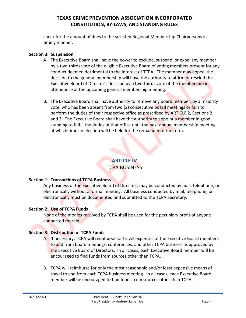check for the amount of dues to the selected Regional Membership Chairpersons in timely manner.

#### **Section 3: Suspension**

- A. The Executive Board shall have the power to exclude, suspend, or expel any member by a two-thirds vote of the eligible Executive Board of voting members present for any conduct deemed detrimental to the interest of TCPA. The member may appeal the decision to the general membership will have the authority to affirm or rescind the Executive Board of Director's decision by a two-thirds vote of the membership in attendance at the upcoming general membership meeting.
- B. The Executive Board shall have authority to remove any board member, by a majority vote, who has been absent from two (2) consecutive board meetings or fails to perform the duties of their respective office as prescribed by ARTICLE 2, Sections 2 and 3. The Executive Board shall have the authority to appoint a member in good standing to fulfill the duties of that office until the next annual membership meeting at which time an election will be held for the remainder of the term.

## **ARTICLE IV**

### TCPA BUSINESS

#### **Section 1: Transactions of TCPA Business**

Any business of the Executive Board of Directors may be conducted by mail, telephone, or electronically without a formal meeting. All business conducted by mail, telephone, or electronically must be documented and submitted to the TCPA Secretary.

#### **Section 2: Use of TCPA Funds**

None of the monies received by TCPA shall be used for the pecuniary profit of anyone connected therein.

#### **Section 3: Distribution of TCPA Funds**

- A. If necessary, TCPA will reimburse for travel expenses of the Executive Board members to and from board meetings, conferences, and other TCPA business as approved by the Executive Board of Directors. In all cases, each Executive Board member will be encouraged to find funds from sources other than TCPA.
- B. TCPA will reimburse for only the most reasonable and/or least expensive means of travel to and from each TCPA business meeting. In all cases, each Executive Board member will be encouraged to find funds from sources other than TCPA.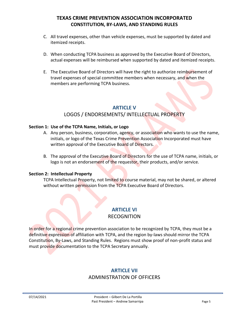- C. All travel expenses, other than vehicle expenses, must be supported by dated and itemized receipts.
- D. When conducting TCPA business as approved by the Executive Board of Directors, actual expenses will be reimbursed when supported by dated and itemized receipts.
- E. The Executive Board of Directors will have the right to authorize reimbursement of travel expenses of special committee members when necessary, and when the members are performing TCPA business.

### **ARTICLE V**

### LOGOS / ENDORSEMENTS/ INTELLECTUAL PROPERTY

#### **Section 1: Use of the TCPA Name, Initials, or Logo**

- A. Any person, business, corporation, agency, or association who wants to use the name, initials, or logo of the Texas Crime Prevention Association Incorporated must have written approval of the Executive Board of Directors.
- B. The approval of the Executive Board of Directors for the use of TCPA name, initials, or logo is not an endorsement of the requestor, their products, and/or service.

#### **Section 2: Intellectual Property**

TCPA Intellectual Property, not limited to course material, may not be shared, or altered without written permission from the TCPA Executive Board of Directors.

### **ARTICLE VI**

#### RECOGNITION

In order for a regional crime prevention association to be recognized by TCPA, they must be a definitive expression of affiliation with TCPA, and the region by-laws should mirror the TCPA Constitution, By-Laws, and Standing Rules. Regions must show proof of non-profit status and must provide documentation to the TCPA Secretary annually.

#### **ARTICLE VII**

#### ADMINISTRATION OF OFFICERS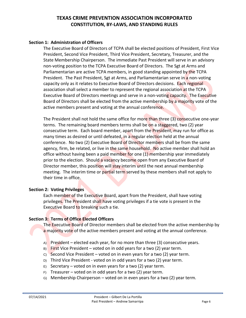#### **Section 1: Administration of Officers**

The Executive Board of Directors of TCPA shall be elected positions of President, First Vice President, Second Vice President, Third Vice President, Secretary, Treasurer, and the State Membership Chairperson. The immediate Past President will serve in an advisory non-voting position to the TCPA Executive Board of Directors. The Sgt at Arms and Parliamentarian are active TCPA members, in good standing appointed by the TCPA President. The Past President, Sgt at Arms, and Parliamentarian serve in a non-voting capacity only as it relates to Executive Board of Directors decisions. Each regional association shall select a member to represent the regional association at the TCPA Executive Board of Directors meetings and serve in a non-voting capacity. The Executive Board of Directors shall be elected from the active membership by a majority vote of the active members present and voting at the annual conference.

The President shall not hold the same office for more than three (3) consecutive one-year terms. The remaining board members terms shall be on a staggered, two (2) year consecutive term. Each board member, apart from the President, may run for office as many times as desired or until defeated, in a regular election held at the annual conference. No two (2) Executive Board of Director members shall be from the same agency, firm, be related, or live in the same household. No active member shall hold an office without having been a paid member for one  $(1)$  membership year immediately prior to the election. Should a vacancy become open from any Executive Board of Director member, this position will stay interim until the next annual membership meeting. The interim time or partial term served by these members shall not apply to their time in office.

#### **Section 2: Voting Privileges**

Each member of the Executive Board, apart from the President, shall have voting privileges. The President shall have voting privileges if a tie vote is present in the Executive Board to breaking such a tie.

#### **Section 3: Terms of Office Elected Officers**

The Executive Board of Director members shall be elected from the active membership by a majority vote of the active members present and voting at the annual conference.

- A) President elected each year, for no more than three (3) consecutive years.
- $B)$  First Vice President voted on in odd years for a two (2) year term.
- $\degree$  Second Vice President voted on in even years for a two (2) year term.
- D) Third Vice President voted on in odd years for a two (2) year term.
- $E$ ) Secretary voted on in even years for a two (2) year term.
- $F$ ) Treasurer voted on in odd years for a two (2) year term.
- G) Membership Chairperson voted on in even years for a two (2) year term.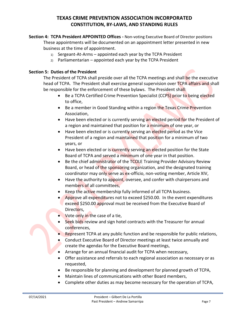- **Section 4: TCPA President APPOINTED Offices -** Non-voting Executive Board of Director positions These appointments will be documented on an appointment letter presented in new business at the time of appointment.
	- 1) Sergeant-At-Arms appointed each year by the TCPA President
	- $2)$  Parliamentarian appointed each year by the TCPA President

#### **Section 5: Duties of the President**

The President of TCPA shall preside over all the TCPA meetings and shall be the executive head of TCPA. The President shall exercise general supervision over TCPA affairs and shall be responsible for the enforcement of these bylaws. The President shall:

- Be a TCPA Certified Crime Prevention Specialist (CCPS) prior to being elected to office,
- Be a member in Good Standing within a region the Texas Crime Prevention Association,
- Have been elected or is currently serving an elected period for the President of a region and maintained that position for a minimum of one year, or
- Have been elected or is currently serving an elected period as the Vice President of a region and maintained that position for a minimum of two years, or
- Have been elected or is currently serving an elected position for the State Board of TCPA and served a minimum of one year in that position.
- Be the chief administrator of the TCOLE Training Provider Advisory Review Board, or head of the sponsoring organization, and the designated training coordinator may only serve as ex-officio, non-voting member, Article XIV,
- Have the authority to appoint, oversee, and confer with chairpersons and members of all committees,
- Keep the active membership fully informed of all TCPA business.
- Approve all expenditures not to exceed \$250.00. In the event expenditures exceed \$250.00 approval must be received from the Executive Board of Directors,
- Vote only in the case of a tie,
- Seek bids review and sign hotel contracts with the Treasurer for annual conferences,
- Represent TCPA at any public function and be responsible for public relations,
- Conduct Executive Board of Director meetings at least twice annually and create the agendas for the Executive Board meetings,
- Arrange for an annual financial audit for TCPA when necessary,
- Offer assistance and referrals to each regional association as necessary or as requested,
- Be responsible for planning and development for planned growth of TCPA,
- Maintain lines of communications with other Board members,
- Complete other duties as may become necessary for the operation of TCPA,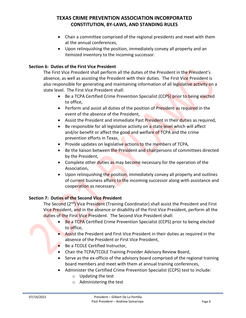- Chair a committee comprised of the regional presidents and meet with them at the annual conferences,
- Upon relinquishing the position, immediately convey all property and an itemized inventory to the incoming successor.

#### **Section 6: Duties of the First Vice President**

The First Vice President shall perform all the duties of the President in the President's absence, as well as assisting the President with their duties. The First Vice President is also responsible for generating and maintaining information of all legislative activity on a state level. The First Vice President shall:

- Be a TCPA Certified Crime Prevention Specialist (CCPS) prior to being elected to office,
- Perform and assist all duties of the position of President as required in the event of the absence of the President,
- Assist the President and immediate Past President in their duties as required,
- Be responsible for all legislative activity on a state level which will affect and/or benefit or affect the good and welfare of TCPA and the crime prevention efforts in Texas,
- Provide updates on legislative actions to the members of TCPA,
- Be the liaison between the President and chairpersons of committees directed by the President,
- Complete other duties as may become necessary for the operation of the Association,
- Upon relinquishing the position, immediately convey all property and outlines of current business affairs to the incoming successor along with assistance and cooperation as necessary.

#### **Section 7: Duties of the Second Vice President**

The Second (2<sup>nd</sup>) Vice President (Training Coordinator) shall assist the President and First Vice President, and in the absence or disability of the First Vice President, perform all the duties of the First Vice President. The Second Vice President shall:

- Be a TCPA Certified Crime Prevention Specialist (CCPS) prior to being elected to office,
- Assist the President and First Vice President in their duties as required in the absence of the President or First Vice President,
- Be a TCOLE Certified Instructor.
- Chair the TCPA/TCOLE Training Provider Advisory Review Board,
- Serve as the ex-officio of the advisory board comprised of the regional training board members and meet with them at annual training conferences,
- Administer the Certified Crime Prevention Specialist (CCPS) test to include:
	- o Updating the test
	- o Administering the test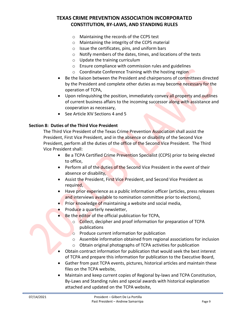- o Maintaining the records of the CCPS test
- o Maintaining the integrity of the CCPS material
- $\circ$  Issue the certificates, pins, and uniform bars
- o Notify members of the dates, times, and locations of the tests
- o Update the training curriculum
- o Ensure compliance with commission rules and guidelines
- o Coordinate Conference Training with the hosting region
- Be the liaison between the President and chairpersons of committees directed by the President and complete other duties as may become necessary for the operation of TCPA,
- Upon relinquishing the position, immediately convey all property and outlines of current business affairs to the incoming successor along with assistance and cooperation as necessary,
- See Article XIV Sections 4 and 5

#### **Section 8: Duties of the Third Vice President**

The Third Vice President of the Texas Crime Prevention Association shall assist the President, First Vice President, and in the absence or disability of the Second Vice President, perform all the duties of the office of the Second Vice President. The Third Vice President shall:

- Be a TCPA Certified Crime Prevention Specialist (CCPS) prior to being elected to office,
- Perform all of the duties of the Second Vice President in the event of their absence or disability,
- Assist the President, First Vice President, and Second Vice President as required,
- Have prior experience as a public information officer (articles, press releases and interviews available to nomination committee prior to elections),
- Prior knowledge of maintaining a website and social media,
- Produce a quarterly newsletter,
- Be the editor of the official publication for TCPA,
	- o Collect, decipher and proof information for preparation of TCPA publications
	- o Produce current information for publication
	- o Assemble information obtained from regional associations for inclusion
	- o Obtain original photographs of TCPA activities for publication
- Obtain contract information for publication that would seek the best interest of TCPA and prepare this information for publication to the Executive Board,
- Gather from past TCPA events, pictures, historical articles and maintain these files on the TCPA website,
- Maintain and keep current copies of Regional by-laws and TCPA Constitution, By-Laws and Standing rules and special awards with historical explanation attached and updated on the TCPA website,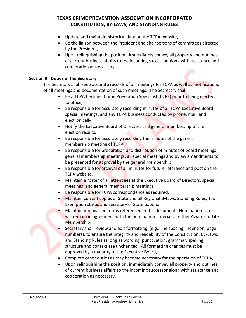- Update and maintain historical data on the TCPA website,
- Be the liaison between the President and chairpersons of committees directed by the President,
- Upon relinquishing the position, immediately convey all property and outlines of current business affairs to the incoming successor along with assistance and cooperation as necessary.

#### **Section 9: Duties of the Secretary**

The Secretary shall keep accurate records of all meetings for TCPA as well as, notifications of all meetings and documentation of such meetings. The Secretary shall:

- Be a TCPA Certified Crime Prevention Specialist (CCPS) prior to being elected to office,
- Be responsible for accurately recording minutes of all TCPA Executive Board, special meetings, and any TCPA business conducted by phone, mail, and electronically,
- Notify the Executive Board of Directors and general membership of the election results,
- Be responsible for accurately recording the minutes of the general membership meeting of TCPA,
- Be responsible for preparation and distribution of minutes of board meetings, general membership meetings, all special meetings and bylaw amendments to be presented for approval by the general membership,
- Be responsible for archival of all minutes for future reference and post on the TCPA website,
- Maintain a roster of all attendees at the Executive Board of Directors, special meetings, and general membership meetings,
- Be responsible for TCPA correspondence as required,
- Maintain current copies of State and all Regional Bylaws, Standing Rules, Tax Exemption status and Secretary of State papers,
- Maintain nomination forms referenced in this document. Nomination forms will remain in agreement with the nomination criteria for either Awards or Life Membership,
- Secretary shall review and edit formatting, (e.g., line spacing, indention, page numbers), to ensure the integrity and readability of the Constitution, By-Laws, and Standing Rules as long as wording, punctuation, grammar, spelling, structure and context are unchanged. All formatting changes must be approved by a majority of the Executive Board,
- Complete other duties as may become necessary for the operation of TCPA,
- Upon relinquishing the position, immediately convey all property and outlines of current business affairs to the incoming successor along with assistance and cooperation as necessary.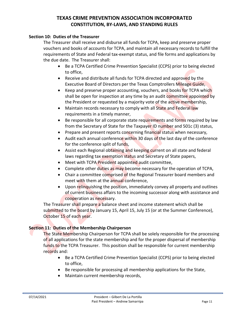#### **Section 10: Duties of the Treasurer**

The Treasurer shall receive and disburse all funds for TCPA, keep and preserve proper vouchers and books of accounts for TCPA, and maintain all necessary records to fulfill the requirements of State and Federal tax-exempt status, and file forms and applications by the due date. The Treasurer shall:

- Be a TCPA Certified Crime Prevention Specialist (CCPS) prior to being elected to office,
- Receive and distribute all funds for TCPA directed and approved by the Executive Board of Directors per the Texas Comptrollers Mileage Guide,
- Keep and preserve proper accounting, vouchers, and books for TCPA which shall be open for inspection at any time by an audit committee appointed by the President or requested by a majority vote of the active membership,
- Maintain records necessary to comply with all State and Federal law requirements in a timely manner,
- Be responsible for all corporate state requirements and forms required by law from the Secretary of State for the Taxpayer ID number and 501c (3) status,
- Prepare and present reports concerning financial status when necessary,
- Audit each annual conference within 30 days of the last day of the conference for the conference split of funds,
- Assist each Regional obtaining and keeping current on all state and federal laws regarding tax exemption status and Secretary of State papers,
- Meet with TCPA President appointed audit committee,
- Complete other duties as may become necessary for the operation of TCPA,
- Chair a committee comprised of the Regional Treasurer board members and meet with them at the annual conference,
- Upon relinquishing the position, immediately convey all property and outlines of current business affairs to the incoming successor along with assistance and cooperation as necessary.

The Treasurer shall prepare a balance sheet and income statement which shall be submitted to the board by January 15, April 15, July 15 (or at the Summer Conference), October 15 of each year.

#### **Section 11: Duties of the Membership Chairperson**

The State Membership Chairperson for TCPA shall be solely responsible for the processing of all applications for the state membership and for the proper dispersal of membership funds to the TCPA Treasurer. This position shall be responsible for current membership records and:

- Be a TCPA Certified Crime Prevention Specialist (CCPS) prior to being elected to office,
- Be responsible for processing all membership applications for the State,
- Maintain current membership records,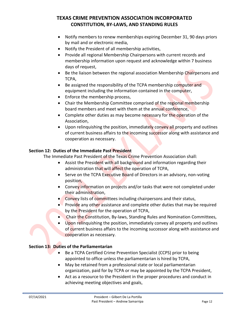- Notify members to renew memberships expiring December 31, 90 days priors by mail and or electronic media,
- Notify the President of all membership activities,
- Provide all regional Membership Chairpersons with current records and membership information upon request and acknowledge within 7 business days of request,
- Be the liaison between the regional association Membership Chairpersons and TCPA,
- Be assigned the responsibility of the TCPA membership computer and equipment including the information contained in the computer,
- Enforce the membership process,
- Chair the Membership Committee comprised of the regional membership board members and meet with them at the annual conference,
- Complete other duties as may become necessary for the operation of the Association,
- Upon relinquishing the position, immediately convey all property and outlines of current business affairs to the incoming successor along with assistance and cooperation as necessary.

#### **Section 12: Duties of the Immediate Past President**

The Immediate Past President of the Texas Crime Prevention Association shall:

- Assist the President with all background and information regarding their administration that will affect the operation of TCPA,
- Serve on the TCPA Executive Board of Directors in an advisory, non-voting position,
- Convey information on projects and/or tasks that were not completed under their administration,
- Convey lists of committees including chairpersons and their status,
- Provide any other assistance and complete other duties that may be required by the President for the operation of TCPA,
- Chair the Constitution, By-laws, Standing Rules and Nomination Committees,
- Upon relinquishing the position, immediately convey all property and outlines of current business affairs to the incoming successor along with assistance and cooperation as necessary.

#### **Section 13: Duties of the Parliamentarian**

- Be a TCPA Certified Crime Prevention Specialist (CCPS) prior to being appointed to office unless the parliamentarian is hired by TCPA,
- May be retained from a professional state or local parliamentarian organization, paid for by TCPA or may be appointed by the TCPA President,
- Act as a resource to the President in the proper procedures and conduct in achieving meeting objectives and goals,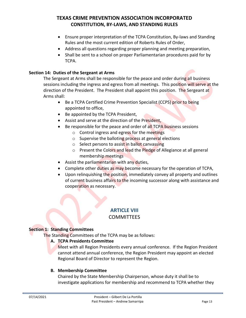- Ensure proper interpretation of the TCPA Constitution, By-laws and Standing Rules and the most current edition of Roberts Rules of Order,
- Address all questions regarding proper planning and meeting preparation,
- Shall be sent to a school on proper Parliamentarian procedures paid for by TCPA.

#### **Section 14: Duties of the Sergeant at Arms**

The Sergeant at Arms shall be responsible for the peace and order during all business sessions including the ingress and egress from all meetings. This position will serve at the direction of the President. The President shall appoint this position. The Sergeant at Arms shall:

- Be a TCPA Certified Crime Prevention Specialist (CCPS) prior to being appointed to office,
- Be appointed by the TCPA President,
- Assist and serve at the direction of the President,
- Be responsible for the peace and order of all TCPA business sessions
	- o Control ingress and egress for the meetings
	- $\circ$  Supervise the balloting process at general elections
	- o Select persons to assist in ballot canvassing
	- o Present the Colors and lead the Pledge of Allegiance at all general membership meetings
- Assist the parliamentarian with any duties,
- Complete other duties as may become necessary for the operation of TCPA,
- Upon relinquishing the position, immediately convey all property and outlines of current business affairs to the incoming successor along with assistance and cooperation as necessary.

## **ARTICLE VIII**

### **COMMITTEES**

#### **Section 1: Standing Committees**

The Standing Committees of the TCPA may be as follows:

#### **A. TCPA Presidents Committee**

Meet with all Region Presidents every annual conference. If the Region President cannot attend annual conference, the Region President may appoint an elected Regional Board of Director to represent the Region.

#### **B. Membership Committee**

Chaired by the State Membership Chairperson, whose duty it shall be to investigate applications for membership and recommend to TCPA whether they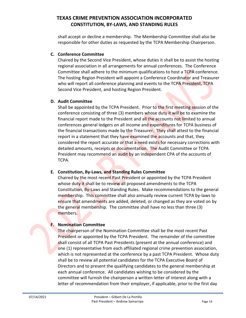shall accept or decline a membership. The Membership Committee shall also be responsible for other duties as requested by the TCPA Membership Chairperson.

#### **C. Conference Committee**

Chaired by the Second Vice President, whose duties it shall be to assist the hosting regional association in all arrangements for annual conferences. The Conference Committee shall adhere to the minimum qualifications to host a TCPA conference. The hosting Region President will appoint a Conference Coordinator and Treasurer who will report all conference planning and events to the TCPA President, TCPA Second Vice President, and hosting Region President.

#### **D. Audit Committee**

Shall be appointed by the TCPA President. Prior to the first meeting session of the conference consisting of three (3) members whose duty it will be to examine the financial report made to the President and all the accounts not limited to annual conferences general ledgers on all income and expenditures for TCPA business of the financial transactions made by the Treasurer. They shall attest to the financial report in a statement that they have examined the accounts and that, they considered the report accurate or that a need exists for necessary corrections with detailed amounts, receipts or documentation. The Audit Committee or TCPA President may recommend an audit by an independent CPA of the accounts of TCPA.

#### **E. Constitution, By-Laws, and Standing Rules Committee**

Chaired by the most recent Past President or appointed by the TCPA President whose duty it shall be to review all proposed amendments to the TCPA Constitution, By-Laws and Standing Rules. Make recommendations to the general membership. This committee shall also annually review current TCPA by-laws to ensure that amendments are added, deleted, or changed as they are voted on by the general membership. The committee shall have no less than three (3) members.

#### **F. Nomination Committee**

The chairperson of the Nomination Committee shall be the most recent Past President or appointed by the TCPA President. The remainder of the committee shall consist of all TCPA Past Presidents (present at the annual conference) and one (1) representative from each affiliated regional crime prevention association, which is not represented at the conference by a past TCPA President. Whose duty shall be to review all potential candidates for the TCPA Executive Board of Directors and to present the qualifying candidates to the general membership at each annual conference. All candidates wishing to be considered by the committee will furnish the chairperson a written letter of interest along with a letter of recommendation from their employer, if applicable, prior to the first day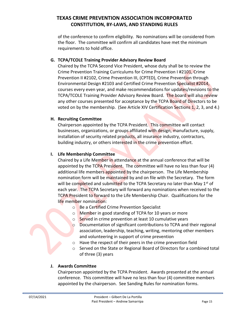of the conference to confirm eligibility. No nominations will be considered from the floor. The committee will confirm all candidates have met the minimum requirements to hold office.

#### **G. TCPA/TCOLE Training Provider Advisory Review Board**

Chaired by the TCPA Second Vice President, whose duty shall be to review the Crime Prevention Training Curriculums for Crime Prevention I #2101, Crime Prevention II #2102, Crime Prevention III, (CPTED), Crime Prevention through Environmental Design #2103 and Certified Crime Prevention Specialist #2014, courses every even year, and make recommendations for updates/revisions to the TCPA/TCOLE Training Provider Advisory Review Board. The board will also review any other courses presented for acceptance by the TCPA Board of Directors to be voted on by the membership. (See Article XIV Certification Sections 1, 2, 3, and 4.)

#### **H. Recruiting Committee**

Chairperson appointed by the TCPA President. This committee will contact businesses, organizations, or groups affiliated with design, manufacture, supply, installation of security related products, all insurance industry, contractors, building industry, or others interested in the crime prevention effort.

#### **I. Life Membership Committee**

Chaired by a Life Member in attendance at the annual conference that will be appointed by the TCPA President. The committee will have no less than four (4) additional life members appointed by the chairperson. The Life Membership nomination form will be maintained by and on file with the Secretary. The form will be completed and submitted to the TCPA Secretary no later than May 1<sup>st</sup> of each year. The TCPA Secretary will forward any nominations when received to the TCPA President to forward to the Life Membership Chair. Qualifications for the life member nomination:

- o Be a Certified Crime Prevention Specialist
- o Member in good standing of TCPA for 10 years or more
- o Served in crime prevention at least 10 cumulative years
- o Documentation of significant contributions to TCPA and their regional association, leadership, teaching, writing, mentoring other members and volunteering in support of crime prevention
- o Have the respect of their peers in the crime prevention field
- o Served on the State or Regional Board of Directors for a combined total of three (3) years

#### **J. Awards Committee**

Chairperson appointed by the TCPA President. Awards presented at the annual conference. This committee will have no less than four (4) committee members appointed by the chairperson. See Sanding Rules for nomination forms.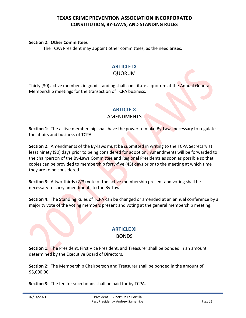#### **Section 2: Other Committees**

The TCPA President may appoint other committees, as the need arises.

#### **ARTICLE IX**

#### QUORUM

Thirty (30) active members in good standing shall constitute a quorum at the Annual General Membership meetings for the transaction of TCPA business.

#### **ARTICLE X**

#### AMENDMENTS

**Section 1:** The active membership shall have the power to make By-Laws necessary to regulate the affairs and business of TCPA.

**Section 2:** Amendments of the By-laws must be submitted in writing to the TCPA Secretary at least ninety (90) days prior to being considered for adoption. Amendments will be forwarded to the chairperson of the By-Laws Committee and Regional Presidents as soon as possible so that copies can be provided to membership forty-five (45) days prior to the meeting at which time they are to be considered.

**Section 3:** A two-thirds (2/3) vote of the active membership present and voting shall be necessary to carry amendments to the By-Laws.

**Section 4:** The Standing Rules of TCPA can be changed or amended at an annual conference by a majority vote of the voting members present and voting at the general membership meeting.

#### **ARTICLE XI** BONDS

**Section 1:** The President, First Vice President, and Treasurer shall be bonded in an amount determined by the Executive Board of Directors.

**Section 2:** The Membership Chairperson and Treasurer shall be bonded in the amount of \$5,000.00.

**Section 3:** The fee for such bonds shall be paid for by TCPA.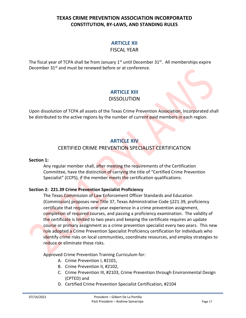### **ARTICLE XII**

#### FISCAL YEAR

The fiscal year of TCPA shall be from January  $1<sup>st</sup>$  until December 31 $<sup>st</sup>$ . All memberships expire</sup> December 31<sup>st</sup> and must be renewed before or at conference.

### **ARTICLE XIII**

#### DISSOLUTION

Upon dissolution of TCPA all assets of the Texas Crime Prevention Association, Incorporated shall be distributed to the active regions by the number of current paid members in each region.

### **ARTICLE XIV**

### CERTIFIED CRIME PREVENTION SPECIALIST CERTIFICATION

#### **Section 1:**

Any regular member shall, after meeting the requirements of the Certification Committee, have the distinction of carrying the title of "Certified Crime Prevention Specialist" (CCPS), if the member meets the certification qualifications.

#### **Section 2: 221.39 Crime Prevention Specialist Proficiency**

The Texas Commission of Law Enforcement Officer Standards and Education (Commission) proposes new Title 37, Texas Administrative Code  $\S 221.39$ , proficiency certificate that requires one-year experience in a crime prevention assignment, completion of required courses, and passing a proficiency examination. The validity of the certificate is limited to two years and keeping the certificate requires an update course or primary assignment as a crime prevention specialist every two years. This new rule adopted a Crime Prevention Specialist Proficiency certification for individuals who identify crime risks on local communities, coordinate resources, and employ strategies to reduce or eliminate these risks.

Approved Crime Prevention Training Curriculum for:

- A. Crime Prevention I, #2101,
- B. Crime Prevention II, #2102,
- C. Crime Prevention III, #2103, Crime Prevention through Environmental Design (CPTED) and
- D. Certified Crime Prevention Specialist Certification, #2104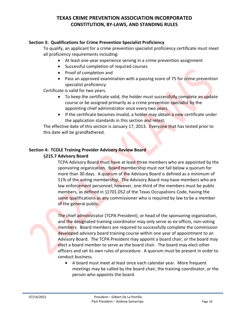#### **Section 3: Qualifications for Crime Prevention Specialist Proficiency**

To qualify, an applicant for a crime prevention specialist proficiency certificate must meet all proficiency requirements including:

- At least one-year experience serving in a crime prevention assignment
- Successful completion of required courses
- Proof of completion and
- Pass an approved examination with a passing score of 75 for crime prevention specialist proficiency.

Certificate is valid for two years.

- To keep the certificate valid, the holder must successfully complete an update course or be assigned primarily as a crime prevention specialist by the appointing chief administrator once every two years.
- If the certificate becomes invalid, a holder may obtain a new certificate under the application standards in this section and retest.

The effective date of this section is January 17, 2013. Everyone that has tested prior to this date will be grandfathered.

#### **Section 4: TCOLE Training Provider Advisory Review Board**

#### **215.7 Advisory Board**

TCPA Advisory Board must have at least three members who are appointed by the sponsoring organization. Board membership must not fall below a quorum for more than 30 days. A quorum of the Advisory Board is defined as a minimum of 51% of the voting membership, The Advisory Board may have members who are law enforcement personnel; however, one-third of the members must be public members, as defined in  $\S$ 1701.052 of the Texas Occupations Code, having the same qualifications as any commissioner who is required by law to be a member of the general public.

The chief administrator (TCPA President), or head of the sponsoring organization, and the designated training coordinator may only serve as ex-officio, non-voting members. Board members are required to successfully complete the commission developed advisory board training course within one year of appointment to an Advisory Board. The TCPA President may appoint a board chair, or the board may elect a board member to serve as the board chair. The board may elect other officers and set its own rules of procedure. A quorum must be present in order to conduct business.

• A board must meet at least once each calendar year. More frequent meetings may be called by the board chair, the training coordinator, or the person who appoints the board.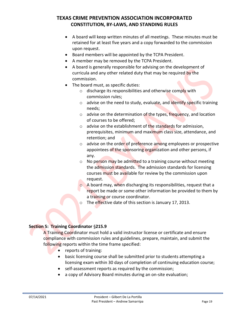- A board will keep written minutes of all meetings. These minutes must be retained for at least five years and a copy forwarded to the commission upon request.
- Board members will be appointed by the TCPA President.
- A member may be removed by the TCPA President.
- A board is generally responsible for advising on the development of curricula and any other related duty that may be required by the commission.
- The board must, as specific duties:
	- $\circ$  discharge its responsibilities and otherwise comply with commission rules;
	- $\circ$  advise on the need to study, evaluate, and identify specific training needs;
	- $\circ$  advise on the determination of the types, frequency, and location of courses to be offered;
	- $\circ$  advise on the establishment of the standards for admission, prerequisites, minimum and maximum class size, attendance, and retention; and
	- $\circ$  advise on the order of preference among employees or prospective appointees of the sponsoring organization and other persons, if any.
	- $\circ$  No person may be admitted to a training course without meeting the admission standards. The admission standards for licensing courses must be available for review by the commission upon request.
	- o A board may, when discharging its responsibilities, request that a report be made or some other information be provided to them by a training or course coordinator.
	- $\circ$  The effective date of this section is January 17, 2013.

#### **Section 5: Training Coordinator §215.9**

A Training Coordinator must hold a valid instructor license or certificate and ensure compliance with commission rules and guidelines, prepare, maintain, and submit the following reports within the time frame specified:

- reports of training:
- basic licensing course shall be submitted prior to students attempting a licensing exam within 30 days of completion of continuing education course;
- self-assessment reports as required by the commission;
- a copy of Advisory Board minutes during an on-site evaluation;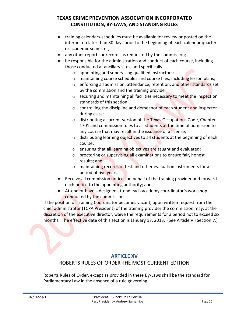- training calendars-schedules must be available for review or posted on the internet no later than 30 days prior to the beginning of each calendar quarter or academic semester;
- any other reports or records as requested by the commission;
- be responsible for the administration and conduct of each course, including those conducted at ancillary sites, and specifically:
	- o appointing and supervising qualified instructors;
	- o maintaining course schedules and course files, including lesson plans;
	- o enforcing all admission, attendance, retention, and other standards set by the commission and the training provider;
	- o securing and maintaining all facilities necessary to meet the inspection standards of this section;
	- $\circ$  controlling the discipline and demeanor of each student and inspector during class;
	- o distributing a current version of the Texas Occupations Code, Chapter 1701 and commission rules to all students at the time of admission to any course that may result in the issuance of a license:
	- $\circ$  distributing learning objectives to all students at the beginning of each course;
	- $\circ$  ensuring that all learning objectives are taught and evaluated;
	- o proctoring or supervising all examinations to ensure fair, honest results; and
	- $\circ$  maintaining records of test and other evaluation instruments for a period of five years.
- Receive all commission notices on behalf of the training provider and forward each notice to the appointing authority; and
- Attend or have a designee attend each academy coordinator's workshop conducted by the commission.

If the position of Training Coordinator becomes vacant, upon written request from the chief administrator (TCPA President) of the training provider the commission may, at the discretion of the executive director, waive the requirements for a period not to exceed six months. The effective date of this section is January 17, 2013. (See Article VII Section 7.)

#### **ARTICLE XV**

### ROBERTS RULES OF ORDER THE MOST CURRENT EDITION

Roberts Rules of Order, except as provided in these By-Laws shall be the standard for Parliamentary Law in the absence of a rule governing.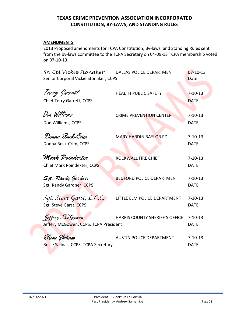#### **AMENDMENTS**

2013 Proposed amendments for TCPA Constitution, By-laws, and Standing Rules sent from the by-laws committee to the TCPA Secretary on 04-09-13 TCPA membership voted on 07-10-13.

| Sr. Cpl Víckie Stonaker<br>Senior Corporal Vickie Stonaker, CCPS | DALLAS POLICE DEPARTMENT         | $07 - 10 - 13$<br>Date       |
|------------------------------------------------------------------|----------------------------------|------------------------------|
| Terry Garrett<br>Chief Terry Garrett, CCPS                       | <b>HEALTH PUBLIC SAFETY</b>      | $7 - 10 - 13$<br><b>DATE</b> |
| Don Williams<br>Don Williams, CCPS                               | <b>CRIME PREVENTION CENTER</b>   | $7 - 10 - 13$<br><b>DATE</b> |
| Donna Beck-Crim<br>Donna Beck-Crim, CCPS                         | <b>MARY HARDIN BAYLOR PD</b>     | $7 - 10 - 13$<br><b>DATE</b> |
| Mark Poindexter<br>Chief Mark Poindexter, CCPS                   | ROCKWALL FIRE CHIEF              | $7 - 10 - 13$<br><b>DATE</b> |
| Sgt. Randy Gardner<br>Sgt. Randy Gardner, CCPS                   | <b>BEDFORD POLICE DEPARTMENT</b> | $7 - 10 - 13$<br><b>DATE</b> |
| Sgt. Steve Garst, L.C.C.<br>Sgt. Steve Garst, CCPS               | LITTLE ELM POLICE DEPARTMENT     | $7 - 10 - 13$<br><b>DATE</b> |
| Jeffery McGowen<br>Jeffery McGowen, CCPS, TCPA President         | HARRIS COUNTY SHERIFF'S OFFICE   | $7 - 10 - 13$<br><b>DATE</b> |
| Rosie Salinas<br>Rosie Salinas, CCPS, TCPA Secretary             | <b>AUSTIN POLICE DEPARTMENT</b>  | $7 - 10 - 13$<br><b>DATE</b> |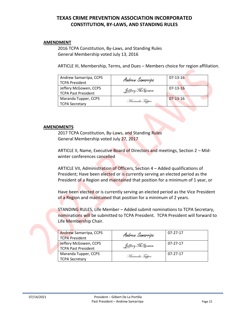#### **AMENDMENT**

2016 TCPA Constitution, By-Laws, and Standing Rules General Membership voted July 13, 2016

ARTICLE III, Membership, Terms, and Dues – Members choice for region affiliation.

| Andrew Samarripa, CCPS<br><b>TCPA President</b>     | Andrew Samarripa | $07 - 13 - 16$ |
|-----------------------------------------------------|------------------|----------------|
| Jeffery McGowen, CCPS<br><b>TCPA Past President</b> | Jeffery McGowen  | $07 - 13 - 16$ |
| Maranda Tupper, CCPS<br><b>TCPA Secretary</b>       | Maranda Tupper   | $07-13-16$     |

#### **AMENDMENTS**

2017 TCPA Constitution, By-Laws, and Standing Rules General Membership voted July 27, 2017

ARTICLE II, Name, Executive Board of Directors and meetings, Section 2 – Midwinter conferences cancelled

ARTICLE VII, Administration of Officers, Section 4 – Added qualifications of President; Have been elected or is currently serving an elected period as the President of a Region and maintained that position for a minimum of 1 year, or

Have been elected or is currently serving an elected period as the Vice President of a Region and maintained that position for a minimum of 2 years.

STANDING RULES, Life Member – Added submit nominations to TCPA Secretary, nominations will be submitted to TCPA President. TCPA President will forward to Life Membership Chair.

| <b>Andrew Samarripa, CCPS</b><br><b>TCPA President</b> | Andrew Samarripa | 07-27-17       |
|--------------------------------------------------------|------------------|----------------|
| Jeffery McGowen, CCPS<br><b>TCPA Past President</b>    | Leffery McGowen  | $07 - 27 - 17$ |
| Maranda Tupper, CCPS<br><b>TCPA Secretary</b>          | Maranda Tupper   | 07-27-17       |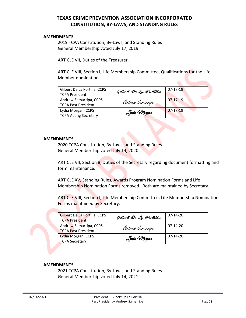#### **AMENDMENTS**

2019 TCPA Constitution, By-Laws, and Standing Rules General Membership voted July 17, 2019

ARTICLE VII, Duties of the Treasurer.

ARTICLE VIII, Section I, Life Membership Committee, Qualifications for the Life Member nomination.

| Gilbert De La Portilla, CCPS<br><b>TCPA President</b> | Gilbert De La Portilla | $07-17-19$ |
|-------------------------------------------------------|------------------------|------------|
| Andrew Samarripa, CCPS<br><b>TCPA Past President</b>  | Andrew Samarripa       | 07-17-19   |
| Lydia Morgan, CCPS<br><b>TCPA Acting Secretary</b>    | Lydia Morgan           | $07-17-19$ |

#### **AMENDMENTS**

2020 TCPA Constitution, By-Laws, and Standing Rules General Membership voted July 14, 2020

ARTICLE VII, Section 8, Duties of the Secretary regarding document formatting and form maintenance.

ARTICLE XV, Standing Rules, Awards Program Nomination Forms and Life Membership Nomination Forms removed. Both are maintained by Secretary.

ARTICLE VIII, Section I, Life Membership Committee, Life Membership Nomination Forms maintained by Secretary.

| Gilbert De La Portilla, CCPS<br><b>TCPA President</b> | Gilbert De La Portilla   | 07-14-20 |
|-------------------------------------------------------|--------------------------|----------|
| Andrew Samarripa, CCPS<br>TCPA Past President         | Andrew Samarripa         | 07-14-20 |
| Lydia Morgan, CCPS<br><b>TCPA Secretary</b>           | Lydia Warga <del>n</del> | 07-14-20 |

#### **AMENDMENTS**

2021 TCPA Constitution, By-Laws, and Standing Rules General Membership voted July 14, 2021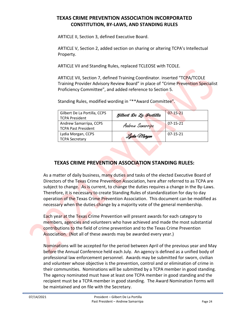ARTICLE II, Section 3, defined Executive Board.

ARTICLE V, Section 2, added section on sharing or altering TCPA's Intellectual Property.

ARTICLE VII and Standing Rules, replaced TCLEOSE with TCOLE.

ARTICLE VII, Section 7, defined Training Coordinator. inserted "TCPA/TCOLE Training Provider Advisory Review Board" in place of "Crime Prevention Specialist Proficiency Committee", and added reference to Section 5.

Standing Rules, modified wording in "\*\*Award Committee".

| Gilbert De La Portilla, CCPS<br><b>TCPA President</b> | Gilbert De La Portilla | $07 - 15 - 21$ |
|-------------------------------------------------------|------------------------|----------------|
| Andrew Samarripa, CCPS<br><b>TCPA Past President</b>  | Andrew Samarripa       | $07 - 15 - 21$ |
| Lydia Morgan, CCPS<br><b>TCPA Secretary</b>           | Lydia Morgan           | $07-15-21$     |

### **TEXAS CRIME PREVENTION ASSOCIATION STANDING RULES:**

As a matter of daily business, many duties and tasks of the elected Executive Board of Directors of the Texas Crime Prevention Association, here after referred to as TCPA are subject to change. As is current, to change the duties requires a change in the By-Laws. Therefore, it is necessary to create Standing Rules of standardization for day to day operation of the Texas Crime Prevention Association. This document can be modified as necessary when the duties change by a majority vote of the general membership.

Each year at the Texas Crime Prevention will present awards for each category to members, agencies and volunteers who have achieved and made the most substantial contributions to the field of crime prevention and to the Texas Crime Prevention Association. (Not all of these awards may be awarded every year.)

Nominations will be accepted for the period between April of the previous year and May before the Annual Conference held each July. An agency is defined as a unified body of professional law enforcement personnel. Awards may be submitted for sworn, civilian and volunteer whose objective is the prevention, control and or elimination of crime in their communities. Nominations will be submitted by a TCPA member in good standing. The agency nominated must have at least one TCPA member in good standing and the recipient must be a TCPA member in good standing. The Award Nomination Forms will be maintained and on file with the Secretary.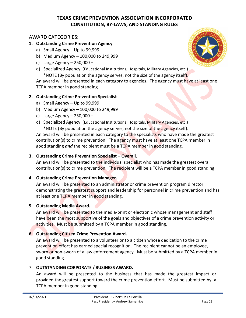### AWARD CATEGORIES:

#### **1. Outstanding Crime Prevention Agency**

- a) Small Agency Up to 99,999
- b) Medium Agency 100,000 to 249,999
- c) Large Agency 250,000 +
- d) Specialized Agency (Educational Institutions, Hospitals, Military Agencies, etc.)

\*NOTE (By population the agency serves, not the size of the agency itself).

An award will be presented in each category to agencies. The agency must have at least one TCPA member in good standing.

#### **2. Outstanding Crime Prevention Specialist**

- a) Small Agency Up to 99,999
- b) Medium Agency 100,000 to 249,999
- c) Large Agency  $-250,000 +$
- d) Specialized Agency (Educational Institutions, Hospitals, Military Agencies, etc.) \*NOTE (By population the agency serves, not the size of the agency itself).

An award will be presented in each category to the specialists who have made the greatest contribution(s) to crime prevention. The agency must have at least one TCPA member in good standing *and* the recipient must be a TCPA member in good standing.

#### **3. Outstanding Crime Prevention Specialist – Overall.**

An award will be presented to the individual specialist who has made the greatest overall contribution(s) to crime prevention. The recipient will be a TCPA member in good standing.

#### **4. Outstanding Crime Prevention Manager.**

An award will be presented to an administrator or crime prevention program director demonstrating the greatest support and leadership for personnel in crime prevention and has at least one TCPA member in good standing.

#### **5. Outstanding Media Award.**

An award will be presented to the media-print or electronic whose management and staff have been the most supportive of the goals and objectives of a crime prevention activity or activities. Must be submitted by a TCPA member in good standing.

#### **6. Outstanding Citizen Crime Prevention Award.**

An award will be presented to a volunteer or to a citizen whose dedication to the crime prevention effort has earned special recognition. The recipient cannot be an employee, sworn or non-sworn of a law enforcement agency. Must be submitted by a TCPA member in good standing.

#### 7. **OUTSTANDING CORPORATE / BUSINESS AWARD.**

An award will be presented to the business that has made the greatest impact or provided the greatest support toward the crime prevention effort. Must be submitted by a TCPA member in good standing.

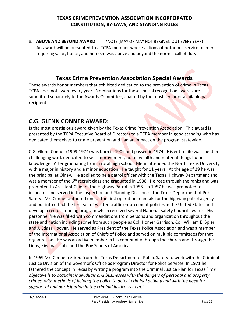8. **ABOVE AND BEYOND AWARD** \*NOTE (MAY OR MAY NOT BE GIVEN OUT EVERY YEAR) An award will be presented to a TCPA member whose actions of notorious service or merit requiring valor, honor, and heroism was above and beyond the normal call of duty.

### **Texas Crime Prevention Association Special Awards**

These awards honor members that exhibited dedication to the prevention of crime in Texas. TCPA does not award every year. Nominations for these special recognition awards are submitted separately to the Awards Committee, chaired by the most senior or available past recipient.

### **C.G. GLENN CONNER AWARD:**

Is the most prestigious award given by the Texas Crime Prevention Association. This award is presented by the TCPA Executive Board of Directors to a TCPA member in good standing who has dedicated themselves to crime prevention and had an impact on the program statewide.

C.G. Glenn Conner (1909-1974) was born in 1909 and passed in 1974. His entire life was spent in challenging work dedicated to self-improvement, not in wealth and material things but in knowledge. After graduating from a rural high school, Glenn attended the North Texas University with a major in history and a minor education. He taught for 11 years. At the age of 29 he was the principal at Olney. He applied to be a patrol officer with the Texas Highway Department and was a member of the 6<sup>th</sup> recruit class and graduated in 1938. He rose through the ranks and was promoted to Assistant Chief of the Highway Patrol in 1956. In 1957 he was promoted to inspector and served in the Inspection and Planning Division of the Texas Department of Public Safety. Mr. Conner authored one of the first operation manuals for the highway patrol agency and put into effect the first set of written traffic enforcement policies in the United States and develop a recruit training program which received several National Safety Council awards. His personnel file was filled with commendations from persons and organization throughout the state and nation including some from such people as Col. Homer Garrison, Col. William E. Spier and J. Edgar Hoover. He served as President of the Texas Police Association and was a member of the International Association of Chiefs of Police and served on multiple committees for that organization. He was an active member in his community through the church and through the Lions, Kiwanas clubs and the Boy Scouts of America.

In 1969 Mr. Conner retired from the Texas Department of Public Safety to work with the Criminal Justice Division of the Governor's Office as Program Director for Police Services. In 1971 he fathered the concept in Texas by writing a program into the Criminal Justice Plan for Texas "*The objective is to acquaint individuals and businesses with the dangers of personal and property crimes, with methods of helping the police to detect criminal activity and with the need for support of and participation in the criminal justice system.*"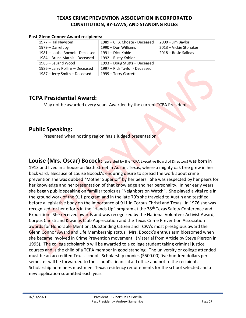#### **Past Glenn Conner Award recipients:**

| 1977 – Hal Newsom               | 1989 – C. B. Choate - Deceased | $2000 - Jim Baylor$    |
|---------------------------------|--------------------------------|------------------------|
| 1979 - Darrel Joy               | 1990 – Don Williams            | 2013 - Vickie Stonaker |
| 1981 – Louise Bocock - Deceased | 1991 – Dick Koble              | 2018 – Rosie Salinas   |
| 1984 – Bruce Mathis - Deceased  | 1992 – Rusty Kohler            |                        |
| 1985 – LeLand Wood              | 1993 - Doug Stutts - Deceased  |                        |
| 1986 - Larry Rollins - Deceased | 1997 - Rick Taylor - Deceased  |                        |
| 1987 - Jerry Smith - Deceased   | 1999 - Terry Garrett           |                        |

### **TCPA Presidential Award:**

May not be awarded every year. Awarded by the current TCPA President.

### **Public Speaking:**

Presented when hosting region has a judged presentation.

**Louise (Mrs. Oscar) Bocock:** (awarded by the TCPA Executive Board of Directors) was born in 1913 and lived in a house on Sixth Street in Austin, Texas, where a mighty oak tree grew in her back yard. Because of Louise Bocock's enduring desire to spread the work about crime prevention she was dubbed "Mother Superior" by her peers. She was respected by her peers for her knowledge and her presentation of that knowledge and her personality. In her early years she began public speaking on familiar topics as "Neighbors on Watch". She played a vital role in the ground work of the 911 program and in the late 70's she traveled to Austin and testified before a legislative body on the importance of 911 in Corpus Christi and Texas. In 1976 she was recognized for her efforts in the "Hands Up" program at the 38<sup>th</sup> Texas Safety Conference and Exposition. She received awards and was recognized by the National Volunteer Activist Award, Corpus Christi and Kiwanas Club Appreciation and the Texas Crime Prevention Association awards for Honorable Mention, Outstanding Citizen and TCPA's most prestigious award the Glenn Connor Award and Life Membership status. Mrs. Bocock's enthusiasm blossomed when she became involved in Crime Prevention movement. (Material from Article by Steve Pierson in 1995). The college scholarship will be awarded to a college student taking criminal justice courses and is the child of a TCPA member in good standing. The university or college attended must be an accredited Texas school. Scholarship monies (\$500.00) five hundred dollars per semester will be forwarded to the school's financial aid office and not to the recipient. Scholarship nominees must meet Texas residency requirements for the school selected and a new application submitted each year.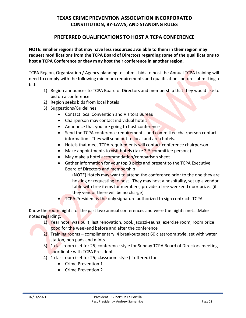### **PREFERRED QUALIFICATIONS TO HOST A TCPA CONFERENCE**

**NOTE: Smaller regions that may have less resources available to them in their region may request modifications from the TCPA Board of Directors regarding some of the qualifications to host a TCPA Conference or they m ay host their conference in another region.**

TCPA Region, Organization / Agency planning to submit bids to host the Annual TCPA training will need to comply with the following minimum requirements and qualifications before submitting a bid:

- 1) Region announces to TCPA Board of Directors and membership that they would like to bid on a conference
- 2) Region seeks bids from local hotels
- 3) Suggestions/Guidelines:
	- Contact local Convention and Visitors Bureau
	- Chairperson may contact individual hotels
	- Announce that you are going to host conference
	- Send the TCPA conference requirements, and committee chairperson contact information. They will send out to local and area hotels.
	- Hotels that meet TCPA requirements will contact conference chairperson.
	- Make appointments to visit hotels (take 3-5 committee persons)
	- May make a hotel accommodation/comparison sheet
	- Gather information for your top 3 picks and present to the TCPA Executive Board of Directors and membership

(NOTE) Hotels may want to attend the conference prior to the one they are hosting or requesting to host. They may host a hospitality, set up a vendor table with free items for members, provide a free weekend door prize…(if they vendor there will be no charge)

**TCPA President is the only signature authorized to sign contracts TCPA** 

Know the room nights for the past two annual conferences and were the nights met….Make notes regarding:

- 1) Year hotel was built, last renovation, pool, jacuzzi-sauna, exercise room, room price good for the weekend before and after the conference
- 2) Training rooms complimentary, 4 breakouts seat 60 classroom style, set with water station, pen pads and mints
- 3) 1 classroom (set for 25) conference style for Sunday TCPA Board of Directors meetingcoordinate with TCPA President
- 4) 1 classroom (set for 25) classroom style (if offered) for
	- Crime Prevention 1
	- Crime Prevention 2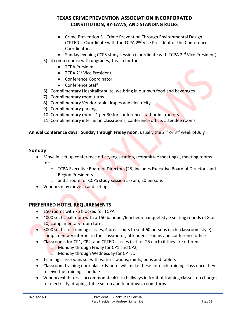- Crime Prevention 3 Crime Prevention Through Environmental Design (CPTED). Coordinate with the TCPA 2<sup>nd</sup> Vice President or the Conference Coordinator.
- Sunday evening CCPS study session (coordinate with TCPA 2<sup>nd</sup> Vice President).
- 5) 4 comp rooms: with upgrades, 1 each for the
	- TCPA President
	- TCPA 2<sup>nd</sup> Vice President
	- Conference Coordinator
	- Conference Staff
- 6) Complimentary Hospitality suite, we bring in our own food and beverages
- 7) Complimentary room turns
- 8) Complimentary Vendor table drapes and electricity
- 9) Complimentary parking
- 10) Complimentary rooms 1 per 30 for conference staff or instructors
- 11) Complimentary internet in classrooms, conference office, attendee rooms,

#### **Annual Conference days: Sunday through Friday noon**, usually the 2nd or 3rd week of July

#### **Sunday**

- Move in, set up conference office, registration, (committee meetings), meeting rooms for:
	- $\circ$  TCPA Executive Board of Directors (25) includes Executive Board of Directors and Region Presidents
	- o and a room for CCPS study session 5-7pm, 20 persons
- Vendors may move in and set up

### **PREFERRED HOTEL REQUIREMENTS**

- 150 rooms with 75 blocked for TCPA
- 4000 sq. ft. ballroom with a 150 banquet/luncheon banquet style seating rounds of 8 or 10, complimentary room turns
- 3000 sq. ft. for training classes, 4 break-outs to seat 60 persons each (classroom style), complimentary internet in the classrooms, attendees' rooms and conference office
- Classrooms for CP1, CP2, and CPTED classes (set for 25 each) if they are offered  $$ 
	- o Monday through Friday for CP1 and CP2,
	- o Monday through Wednesday for CPTED
- Training classrooms set with water stations, mints, pens and tablets
- Classroom training door placards-hotel will make these for each training class once they receive the training schedule
- Vendor/exhibitors accommodate 40+ in hallways in front of training classes-no charges for electricity, draping, table set up and tear down, room turns.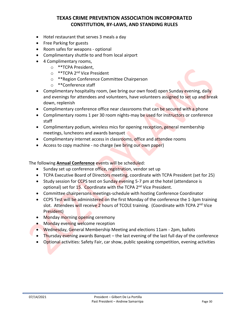- Hotel restaurant that serves 3 meals a day
- Free Parking for guests
- Room safes for weapons optional
- Complimentary shuttle to and from local airport
- 4 Complimentary rooms,
	- o \*\*TCPA President,
	- o \*\*TCPA 2<sup>nd</sup> Vice President
	- o \*\*Region Conference Committee Chairperson
	- o \*\*Conference staff
- Complimentary hospitality room, (we bring our own food) open Sunday evening, daily and evenings for attendees and volunteers, have volunteers assigned to set up and break down, replenish
- Complimentary conference office near classrooms that can be secured with a phone
- Complimentary rooms 1 per 30 room nights-may be used for instructors or conference staff
- Complimentary podium, wireless mics for opening reception, general membership meetings, luncheons and awards banquet
- Complimentary internet access in classrooms, office and attendee rooms
- Access to copy machine no charge (we bring our own paper)

The following **Annual Conference** events will be scheduled:

- Sunday set up conference office, registration, vendor set up
- TCPA Executive Board of Directors meeting, coordinate with TCPA President (set for 25)
- Study session for CCPS test on Sunday evening 5-7 pm at the hotel (attendance is optional) set for 15. Coordinate with the TCPA 2<sup>nd</sup> Vice President.
- Committee chairpersons meetings-schedule with hosting Conference Coordinator
- CCPS Test will be administered on the first Monday of the conference the 1-3pm training slot. Attendees will receive 2 hours of TCOLE training. (Coordinate with TCPA 2<sup>nd</sup> Vice President)
- Monday morning opening ceremony
- Monday evening welcome reception
- Wednesday, General Membership Meeting and elections 11am 2pm, ballots
- Thursday evening awards Banquet the last evening of the last full day of the conference
- Optional activities: Safety Fair, car show, public speaking competition, evening activities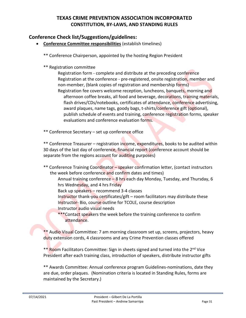### **Conference Check list/Suggestions/guidelines:**

- **Conference Committee responsibilities** (establish timelines)
	- \*\* Conference Chairperson, appointed by the hosting Region President
	- \*\* Registration committee

Registration form - complete and distribute at the preceding conference Registration at the conference - pre-registered, onsite registration, member and non-member, (blank copies of registration and membership forms) Registration fee covers welcome reception, luncheons, banquets, morning and afternoon coffee breaks, all food and beverage, decorations, training materials, flash drives/CDs/notebooks, certificates of attendance, conference advertising, award plaques, name tags, goody bags, t-shirts/conference gift (optional), publish schedule of events and training, conference registration forms, speaker evaluations and conference evaluation forms.

\*\* Conference Secretary – set up conference office

\*\* Conference Treasurer – registration income, expenditures, books to be audited within 30 days of the last day of conference, financial report (conference account should be separate from the regions account for auditing purposes)

- \*\* Conference Training Coordinator speaker confirmation letter, (contact instructors the week before conference and confirm dates and times)
	- Annual training conference 8 hrs each day Monday, Tuesday, and Thursday, 6 hrs Wednesday, and 4 hrs Friday
	- Back up speakers recommend 3-4 classes
	- Instructor thank-you certificates/gift room facilitators may distribute these Instructor-Bio, course outline for TCOLE, course description Instructor audio visual needs
	- \*\*\*Contact speakers the week before the training conference to confirm attendance.

\*\* Audio Visual Committee: 7 am morning classroom set up, screens, projectors, heavy duty extension cords, 4 classrooms and any Crime Prevention classes offered

\*\* Room Facilitators Committee: Sign in sheets signed and turned into the 2<sup>nd</sup> Vice President after each training class, introduction of speakers, distribute instructor gifts

\*\* Awards Committee: Annual conference program Guidelines-nominations, date they are due, order plaques. (Nomination criteria is located in Standing Rules, forms are maintained by the Secretary.)